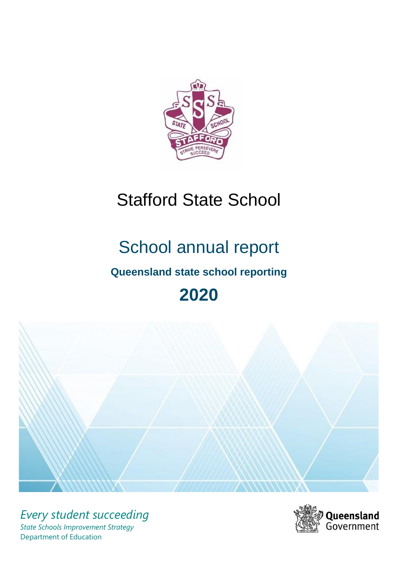

# Stafford State School

# School annual report

# **Queensland state school reporting**

# **2020**



*Every student succeeding State Schools Improvement Strategy* Department of Education

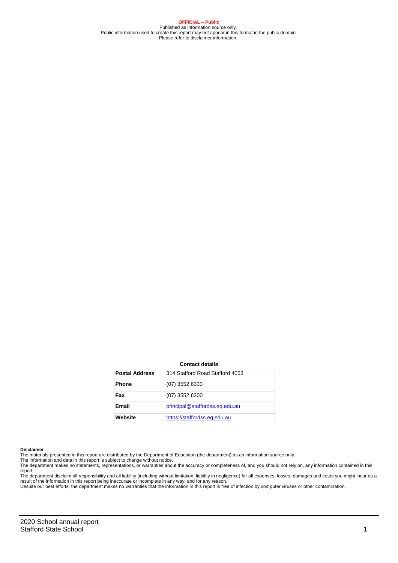**OFFICIAL – Public** Published as information source only. Public information used to create this report may not appear in this format in the public domain Please refer to disclaimer information.

#### **Contact details**

| <b>Postal Address</b> | 314 Stafford Road Stafford 4053 |
|-----------------------|---------------------------------|
| <b>Phone</b>          | $(07)$ 3552 6333                |
| Fax                   | $(07)$ 3552 6300                |
| Email                 | principal@staffordss.eq.edu.au  |
| Website               | https://staffordss.eq.edu.au    |

#### **Disclaimer**

The materials presented in this report are distributed by the Department of Education (the department) as an information source only. The information and data in this report is subject to change without notice.

The department makes no statements, representations, or warranties about the accuracy or completeness of, and you should not rely on, any information contained in this report.

The department disclaim all responsibility and all liability (including without limitation, liability in negligence) for all expenses, losses, damages and costs you might incur as a<br>result of the information in this report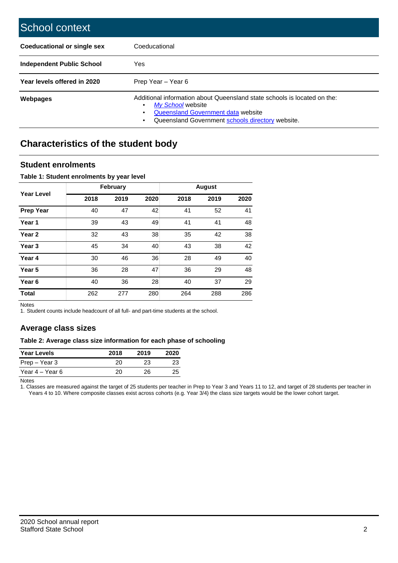| School context                     |                                                                                                                                                                                         |
|------------------------------------|-----------------------------------------------------------------------------------------------------------------------------------------------------------------------------------------|
| <b>Coeducational or single sex</b> | Coeducational                                                                                                                                                                           |
| <b>Independent Public School</b>   | Yes                                                                                                                                                                                     |
| Year levels offered in 2020        | Prep Year – Year 6                                                                                                                                                                      |
| <b>Webpages</b>                    | Additional information about Queensland state schools is located on the:<br>My School website<br>Queensland Government data website<br>Queensland Government schools directory website. |

## **Characteristics of the student body**

### **Student enrolments**

#### **Table 1: Student enrolments by year level**

|                   |      | February |      |      | <b>August</b> |      |
|-------------------|------|----------|------|------|---------------|------|
| Year Level        | 2018 | 2019     | 2020 | 2018 | 2019          | 2020 |
| <b>Prep Year</b>  | 40   | 47       | 42   | 41   | 52            | 41   |
| Year 1            | 39   | 43       | 49   | 41   | 41            | 48   |
| Year 2            | 32   | 43       | 38   | 35   | 42            | 38   |
| Year 3            | 45   | 34       | 40   | 43   | 38            | 42   |
| Year 4            | 30   | 46       | 36   | 28   | 49            | 40   |
| Year 5            | 36   | 28       | 47   | 36   | 29            | 48   |
| Year <sub>6</sub> | 40   | 36       | 28   | 40   | 37            | 29   |
| <b>Total</b>      | 262  | 277      | 280  | 264  | 288           | 286  |

Notes

1. Student counts include headcount of all full- and part-time students at the school.

### **Average class sizes**

#### **Table 2: Average class size information for each phase of schooling**

| <b>Year Levels</b> | 2018 | 2019 | 2020 |
|--------------------|------|------|------|
| Prep – Year 3      | 20.  | 23   |      |
| Year 4 – Year 6    | 20.  | 26.  | 25   |

Notes

1. Classes are measured against the target of 25 students per teacher in Prep to Year 3 and Years 11 to 12, and target of 28 students per teacher in Years 4 to 10. Where composite classes exist across cohorts (e.g. Year 3/4) the class size targets would be the lower cohort target.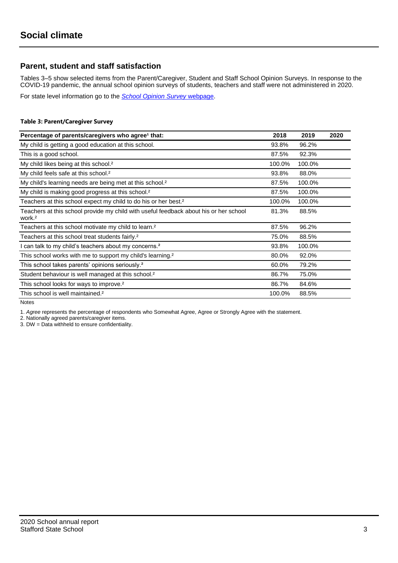## **Parent, student and staff satisfaction**

Tables 3–5 show selected items from the Parent/Caregiver, Student and Staff School Opinion Surveys. In response to the COVID-19 pandemic, the annual school opinion surveys of students, teachers and staff were not administered in 2020.

For state level information go to the *[School Opinion Survey](https://qed.qld.gov.au/publications/reports/statistics/schooling/schools/schoolopinionsurvey)* [webpage.](https://qed.qld.gov.au/publications/reports/statistics/schooling/schools/schoolopinionsurvey)

#### **Table 3: Parent/Caregiver Survey**

| Percentage of parents/caregivers who agree <sup>1</sup> that:                                               | 2018   | 2019   | 2020 |
|-------------------------------------------------------------------------------------------------------------|--------|--------|------|
| My child is getting a good education at this school.                                                        | 93.8%  | 96.2%  |      |
| This is a good school.                                                                                      | 87.5%  | 92.3%  |      |
| My child likes being at this school. <sup>2</sup>                                                           | 100.0% | 100.0% |      |
| My child feels safe at this school. <sup>2</sup>                                                            | 93.8%  | 88.0%  |      |
| My child's learning needs are being met at this school. <sup>2</sup>                                        | 87.5%  | 100.0% |      |
| My child is making good progress at this school. <sup>2</sup>                                               | 87.5%  | 100.0% |      |
| Teachers at this school expect my child to do his or her best. <sup>2</sup>                                 | 100.0% | 100.0% |      |
| Teachers at this school provide my child with useful feedback about his or her school<br>work. <sup>2</sup> | 81.3%  | 88.5%  |      |
| Teachers at this school motivate my child to learn. <sup>2</sup>                                            | 87.5%  | 96.2%  |      |
| Teachers at this school treat students fairly. <sup>2</sup>                                                 | 75.0%  | 88.5%  |      |
| I can talk to my child's teachers about my concerns. <sup>2</sup>                                           | 93.8%  | 100.0% |      |
| This school works with me to support my child's learning. <sup>2</sup>                                      | 80.0%  | 92.0%  |      |
| This school takes parents' opinions seriously. <sup>2</sup>                                                 | 60.0%  | 79.2%  |      |
| Student behaviour is well managed at this school. <sup>2</sup>                                              | 86.7%  | 75.0%  |      |
| This school looks for ways to improve. <sup>2</sup>                                                         | 86.7%  | 84.6%  |      |
| This school is well maintained. <sup>2</sup>                                                                | 100.0% | 88.5%  |      |

Notes

1. *Agree* represents the percentage of respondents who Somewhat Agree, Agree or Strongly Agree with the statement.

2. Nationally agreed parents/caregiver items.

3. DW = Data withheld to ensure confidentiality.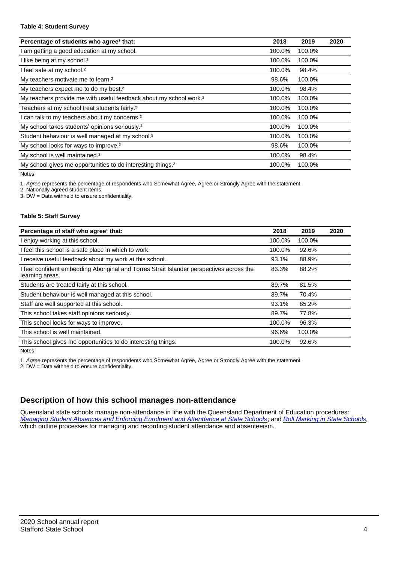#### **Table 4: Student Survey**

| Percentage of students who agree <sup>1</sup> that:                            | 2018   | 2019   | 2020 |
|--------------------------------------------------------------------------------|--------|--------|------|
| am getting a good education at my school.                                      | 100.0% | 100.0% |      |
| I like being at my school. <sup>2</sup>                                        | 100.0% | 100.0% |      |
| I feel safe at my school. <sup>2</sup>                                         | 100.0% | 98.4%  |      |
| My teachers motivate me to learn. <sup>2</sup>                                 | 98.6%  | 100.0% |      |
| My teachers expect me to do my best. <sup>2</sup>                              | 100.0% | 98.4%  |      |
| My teachers provide me with useful feedback about my school work. <sup>2</sup> | 100.0% | 100.0% |      |
| Teachers at my school treat students fairly. <sup>2</sup>                      | 100.0% | 100.0% |      |
| can talk to my teachers about my concerns. <sup>2</sup>                        | 100.0% | 100.0% |      |
| My school takes students' opinions seriously. <sup>2</sup>                     | 100.0% | 100.0% |      |
| Student behaviour is well managed at my school. <sup>2</sup>                   | 100.0% | 100.0% |      |
| My school looks for ways to improve. <sup>2</sup>                              | 98.6%  | 100.0% |      |
| My school is well maintained. <sup>2</sup>                                     | 100.0% | 98.4%  |      |
| My school gives me opportunities to do interesting things. <sup>2</sup>        | 100.0% | 100.0% |      |

Notes

1. *Agree* represents the percentage of respondents who Somewhat Agree, Agree or Strongly Agree with the statement.

2. Nationally agreed student items.

3. DW = Data withheld to ensure confidentiality.

#### **Table 5: Staff Survey**

| Percentage of staff who agree <sup>1</sup> that:                                                            | 2018   | 2019   | 2020 |
|-------------------------------------------------------------------------------------------------------------|--------|--------|------|
| I enjoy working at this school.                                                                             | 100.0% | 100.0% |      |
| I feel this school is a safe place in which to work.                                                        | 100.0% | 92.6%  |      |
| I receive useful feedback about my work at this school.                                                     | 93.1%  | 88.9%  |      |
| I feel confident embedding Aboriginal and Torres Strait Islander perspectives across the<br>learning areas. | 83.3%  | 88.2%  |      |
| Students are treated fairly at this school.                                                                 | 89.7%  | 81.5%  |      |
| Student behaviour is well managed at this school.                                                           | 89.7%  | 70.4%  |      |
| Staff are well supported at this school.                                                                    | 93.1%  | 85.2%  |      |
| This school takes staff opinions seriously.                                                                 | 89.7%  | 77.8%  |      |
| This school looks for ways to improve.                                                                      | 100.0% | 96.3%  |      |
| This school is well maintained.                                                                             | 96.6%  | 100.0% |      |
| This school gives me opportunities to do interesting things.                                                | 100.0% | 92.6%  |      |

Notes

1. *Agree* represents the percentage of respondents who Somewhat Agree, Agree or Strongly Agree with the statement.

2. DW = Data withheld to ensure confidentiality.

## **Description of how this school manages non-attendance**

Queensland state schools manage non-attendance in line with the Queensland Department of Education procedures: *[Managing Student Absences and Enforcing Enrolment and Attendance at State Schools](https://ppr.qed.qld.gov.au/pp/managing-student-absences-and-enforcing-enrolment-and-attendance-at-state-schools-procedure)*; and *[Roll Marking in State Schools,](https://ppr.qed.qld.gov.au/pp/roll-marking-in-state-schools-procedure)* which outline processes for managing and recording student attendance and absenteeism.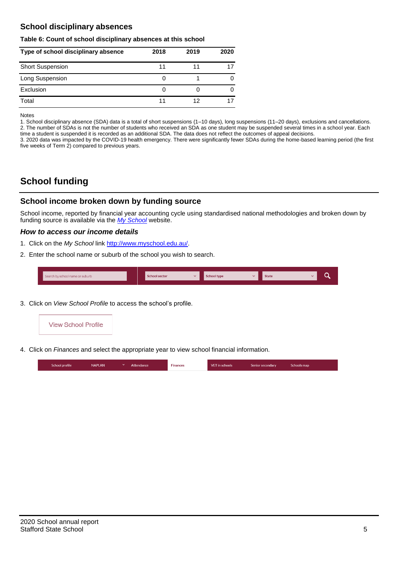## **School disciplinary absences**

#### **Table 6: Count of school disciplinary absences at this school**

| Type of school disciplinary absence | 2018 | 2019 | 2020 |
|-------------------------------------|------|------|------|
| <b>Short Suspension</b>             | 11   |      |      |
| Long Suspension                     | O    |      |      |
| Exclusion                           | O    |      |      |
| Total                               |      | 12   |      |

Notes

1. School disciplinary absence (SDA) data is a total of short suspensions (1–10 days), long suspensions (11–20 days), exclusions and cancellations. 2. The number of SDAs is not the number of students who received an SDA as one student may be suspended several times in a school year. Each time a student is suspended it is recorded as an additional SDA. The data does not reflect the outcomes of appeal decisions.

3. 2020 data was impacted by the COVID-19 health emergency. There were significantly fewer SDAs during the home-based learning period (the first five weeks of Term 2) compared to previous years.

# **School funding**

## **School income broken down by funding source**

School income, reported by financial year accounting cycle using standardised national methodologies and broken down by funding source is available via the *[My School](http://www.myschool.edu.au/)* website.

#### *How to access our income details*

- 1. Click on the *My School* link [http://www.myschool.edu.au/.](http://www.myschool.edu.au/)
- 2. Enter the school name or suburb of the school you wish to search.

| Search by school name or suburb | <b>School sector</b> | <b>School type</b> | <b>State</b> | ∽ |
|---------------------------------|----------------------|--------------------|--------------|---|
|                                 |                      |                    |              |   |

3. Click on *View School Profile* to access the school's profile.



4. Click on *Finances* and select the appropriate year to view school financial information.

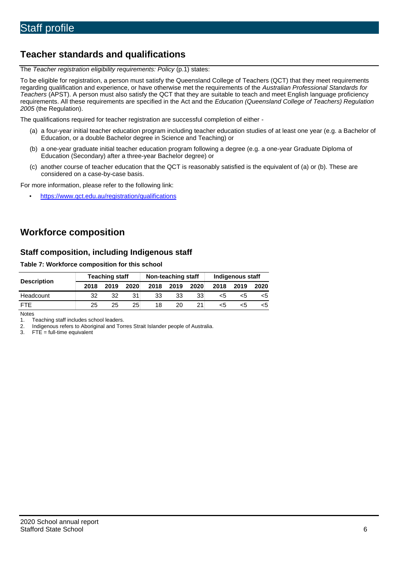# **Teacher standards and qualifications**

The *Teacher registration eligibility requirements: Policy* (p.1) states:

To be eligible for registration, a person must satisfy the Queensland College of Teachers (QCT) that they meet requirements regarding qualification and experience, or have otherwise met the requirements of the *Australian Professional Standards for Teachers* (APST). A person must also satisfy the QCT that they are suitable to teach and meet English language proficiency requirements. All these requirements are specified in the Act and the *Education (Queensland College of Teachers) Regulation 2005* (the Regulation).

The qualifications required for teacher registration are successful completion of either -

- (a) a four-year initial teacher education program including teacher education studies of at least one year (e.g. a Bachelor of Education, or a double Bachelor degree in Science and Teaching) or
- (b) a one-year graduate initial teacher education program following a degree (e.g. a one-year Graduate Diploma of Education (Secondary) after a three-year Bachelor degree) or
- (c) another course of teacher education that the QCT is reasonably satisfied is the equivalent of (a) or (b). These are considered on a case-by-case basis.

For more information, please refer to the following link:

• <https://www.qct.edu.au/registration/qualifications>

# **Workforce composition**

## **Staff composition, including Indigenous staff**

#### **Table 7: Workforce composition for this school**

|                    | <b>Teaching staff</b> |      |                 | Non-teaching staff |      |      | Indigenous staff |      |      |
|--------------------|-----------------------|------|-----------------|--------------------|------|------|------------------|------|------|
| <b>Description</b> | 2018                  | 2019 | 2020            | 2018               | 2019 | 2020 | 2018             | 2019 | 2020 |
| Headcount          | 32                    | 32   |                 | 33                 | 33   | 33   | <5               |      |      |
| <b>FTF</b>         | 25                    | 25   | 25 <sub>1</sub> | 18                 | 20   |      | <5               | ה>   | <5   |

Notes

1. Teaching staff includes school leaders.<br>2. Indigenous refers to Aboriginal and Tor 2. Indigenous refers to Aboriginal and Torres Strait Islander people of Australia.<br>3. FTE = full-time equivalent

 $FTE = full-time equivalent$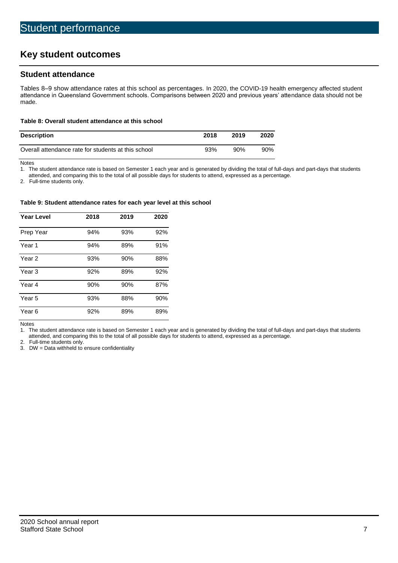# **Key student outcomes**

## **Student attendance**

Tables 8–9 show attendance rates at this school as percentages. In 2020, the COVID-19 health emergency affected student attendance in Queensland Government schools. Comparisons between 2020 and previous years' attendance data should not be made.

#### **Table 8: Overall student attendance at this school**

| <b>Description</b>                                  | 2018 | 2019 | 2020   |
|-----------------------------------------------------|------|------|--------|
| Overall attendance rate for students at this school | 93%  | 90%  | $90\%$ |

Notes<br>1. Th

The student attendance rate is based on Semester 1 each year and is generated by dividing the total of full-days and part-days that students

attended, and comparing this to the total of all possible days for students to attend, expressed as a percentage.

2. Full-time students only.

#### **Table 9: Student attendance rates for each year level at this school**

| <b>Year Level</b> | 2018 | 2019 | 2020 |
|-------------------|------|------|------|
| Prep Year         | 94%  | 93%  | 92%  |
| Year <sub>1</sub> | 94%  | 89%  | 91%  |
| Year 2            | 93%  | 90%  | 88%  |
| Year <sub>3</sub> | 92%  | 89%  | 92%  |
| Year 4            | 90%  | 90%  | 87%  |
| Year 5            | 93%  | 88%  | 90%  |
| Year <sub>6</sub> | 92%  | 89%  | 89%  |

Notes

1. The student attendance rate is based on Semester 1 each year and is generated by dividing the total of full-days and part-days that students attended, and comparing this to the total of all possible days for students to attend, expressed as a percentage.

2. Full-time students only.<br>3. DW = Data withheld to

 $DW = Data$  withheld to ensure confidentiality